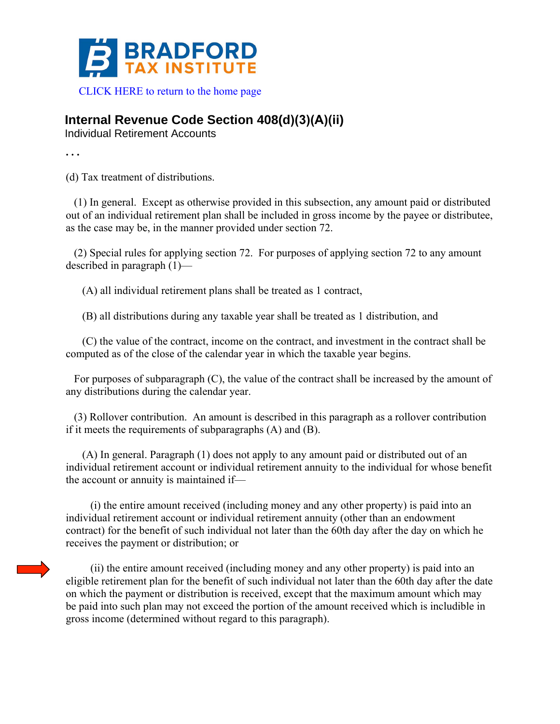

## **Internal Revenue Code Section 408(d)(3)(A)(ii)**

Individual Retirement Accounts

**. . .** 

(d) Tax treatment of distributions.

 (1) In general. Except as otherwise provided in this subsection, any amount paid or distributed out of an individual retirement plan shall be included in gross income by the payee or distributee, as the case may be, in the manner provided under section 72.

 (2) Special rules for applying section 72. For purposes of applying section 72 to any amount described in paragraph (1)—

(A) all individual retirement plans shall be treated as 1 contract,

(B) all distributions during any taxable year shall be treated as 1 distribution, and

 (C) the value of the contract, income on the contract, and investment in the contract shall be computed as of the close of the calendar year in which the taxable year begins.

 For purposes of subparagraph (C), the value of the contract shall be increased by the amount of any distributions during the calendar year.

 (3) Rollover contribution. An amount is described in this paragraph as a rollover contribution if it meets the requirements of subparagraphs (A) and (B).

 (A) In general. Paragraph (1) does not apply to any amount paid or distributed out of an individual retirement account or individual retirement annuity to the individual for whose benefit the account or annuity is maintained if—

 (i) the entire amount received (including money and any other property) is paid into an individual retirement account or individual retirement annuity (other than an endowment contract) for the benefit of such individual not later than the 60th day after the day on which he receives the payment or distribution; or

 (ii) the entire amount received (including money and any other property) is paid into an eligible retirement plan for the benefit of such individual not later than the 60th day after the date on which the payment or distribution is received, except that the maximum amount which may be paid into such plan may not exceed the portion of the amount received which is includible in gross income (determined without regard to this paragraph).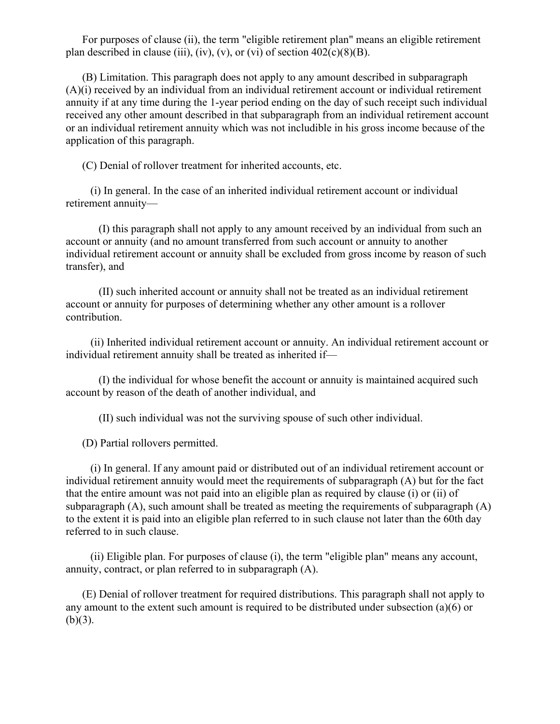For purposes of clause (ii), the term "eligible retirement plan" means an eligible retirement plan described in clause (iii), (iv), (v), or (vi) of section  $402(c)(8)(B)$ .

 (B) Limitation. This paragraph does not apply to any amount described in subparagraph (A)(i) received by an individual from an individual retirement account or individual retirement annuity if at any time during the 1-year period ending on the day of such receipt such individual received any other amount described in that subparagraph from an individual retirement account or an individual retirement annuity which was not includible in his gross income because of the application of this paragraph.

(C) Denial of rollover treatment for inherited accounts, etc.

 (i) In general. In the case of an inherited individual retirement account or individual retirement annuity—

 (I) this paragraph shall not apply to any amount received by an individual from such an account or annuity (and no amount transferred from such account or annuity to another individual retirement account or annuity shall be excluded from gross income by reason of such transfer), and

 (II) such inherited account or annuity shall not be treated as an individual retirement account or annuity for purposes of determining whether any other amount is a rollover contribution.

 (ii) Inherited individual retirement account or annuity. An individual retirement account or individual retirement annuity shall be treated as inherited if—

 (I) the individual for whose benefit the account or annuity is maintained acquired such account by reason of the death of another individual, and

(II) such individual was not the surviving spouse of such other individual.

(D) Partial rollovers permitted.

 (i) In general. If any amount paid or distributed out of an individual retirement account or individual retirement annuity would meet the requirements of subparagraph (A) but for the fact that the entire amount was not paid into an eligible plan as required by clause (i) or (ii) of subparagraph (A), such amount shall be treated as meeting the requirements of subparagraph (A) to the extent it is paid into an eligible plan referred to in such clause not later than the 60th day referred to in such clause.

 (ii) Eligible plan. For purposes of clause (i), the term "eligible plan" means any account, annuity, contract, or plan referred to in subparagraph (A).

 (E) Denial of rollover treatment for required distributions. This paragraph shall not apply to any amount to the extent such amount is required to be distributed under subsection (a)(6) or  $(b)(3)$ .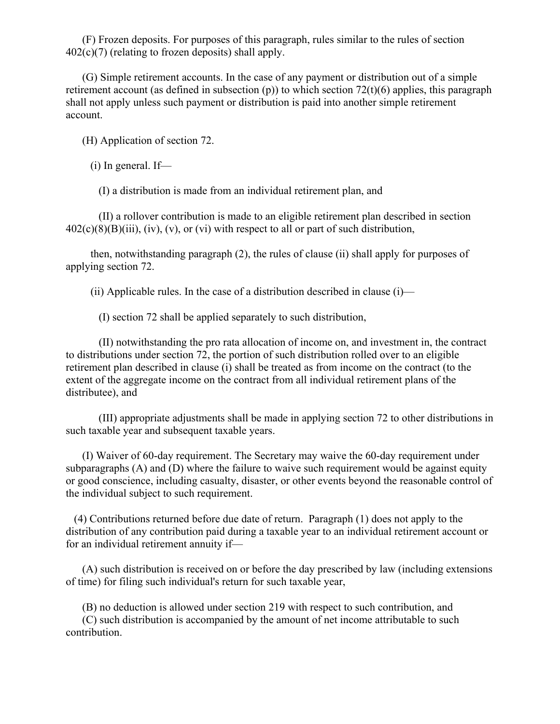(F) Frozen deposits. For purposes of this paragraph, rules similar to the rules of section  $402(c)(7)$  (relating to frozen deposits) shall apply.

 (G) Simple retirement accounts. In the case of any payment or distribution out of a simple retirement account (as defined in subsection  $(p)$ ) to which section 72(t)(6) applies, this paragraph shall not apply unless such payment or distribution is paid into another simple retirement account.

(H) Application of section 72.

(i) In general. If—

(I) a distribution is made from an individual retirement plan, and

 (II) a rollover contribution is made to an eligible retirement plan described in section  $402(c)(8)(B)(iii)$ , (iv), (v), or (vi) with respect to all or part of such distribution,

 then, notwithstanding paragraph (2), the rules of clause (ii) shall apply for purposes of applying section 72.

(ii) Applicable rules. In the case of a distribution described in clause  $(i)$ —

(I) section 72 shall be applied separately to such distribution,

 (II) notwithstanding the pro rata allocation of income on, and investment in, the contract to distributions under section 72, the portion of such distribution rolled over to an eligible retirement plan described in clause (i) shall be treated as from income on the contract (to the extent of the aggregate income on the contract from all individual retirement plans of the distributee), and

 (III) appropriate adjustments shall be made in applying section 72 to other distributions in such taxable year and subsequent taxable years.

 (I) Waiver of 60-day requirement. The Secretary may waive the 60-day requirement under subparagraphs (A) and (D) where the failure to waive such requirement would be against equity or good conscience, including casualty, disaster, or other events beyond the reasonable control of the individual subject to such requirement.

 (4) Contributions returned before due date of return. Paragraph (1) does not apply to the distribution of any contribution paid during a taxable year to an individual retirement account or for an individual retirement annuity if—

 (A) such distribution is received on or before the day prescribed by law (including extensions of time) for filing such individual's return for such taxable year,

(B) no deduction is allowed under section 219 with respect to such contribution, and

 (C) such distribution is accompanied by the amount of net income attributable to such contribution.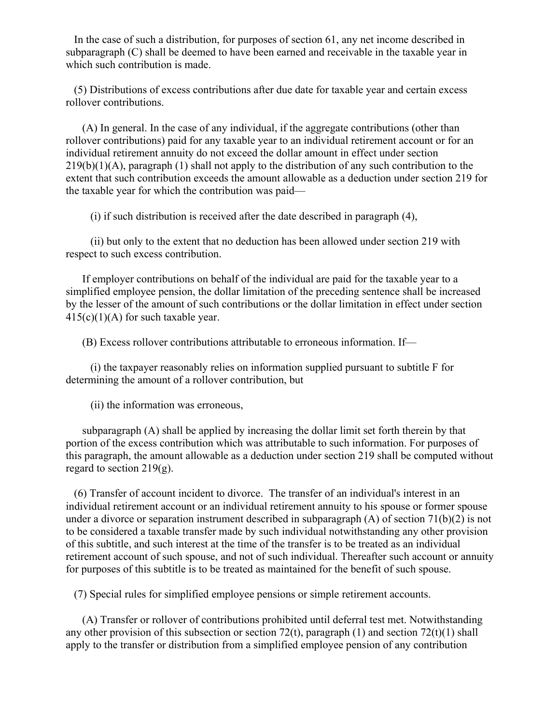In the case of such a distribution, for purposes of section 61, any net income described in subparagraph (C) shall be deemed to have been earned and receivable in the taxable year in which such contribution is made.

 (5) Distributions of excess contributions after due date for taxable year and certain excess rollover contributions.

 (A) In general. In the case of any individual, if the aggregate contributions (other than rollover contributions) paid for any taxable year to an individual retirement account or for an individual retirement annuity do not exceed the dollar amount in effect under section  $219(b)(1)(A)$ , paragraph (1) shall not apply to the distribution of any such contribution to the extent that such contribution exceeds the amount allowable as a deduction under section 219 for the taxable year for which the contribution was paid—

(i) if such distribution is received after the date described in paragraph (4),

 (ii) but only to the extent that no deduction has been allowed under section 219 with respect to such excess contribution.

 If employer contributions on behalf of the individual are paid for the taxable year to a simplified employee pension, the dollar limitation of the preceding sentence shall be increased by the lesser of the amount of such contributions or the dollar limitation in effect under section  $415(c)(1)(A)$  for such taxable year.

(B) Excess rollover contributions attributable to erroneous information. If—

 (i) the taxpayer reasonably relies on information supplied pursuant to subtitle F for determining the amount of a rollover contribution, but

(ii) the information was erroneous,

 subparagraph (A) shall be applied by increasing the dollar limit set forth therein by that portion of the excess contribution which was attributable to such information. For purposes of this paragraph, the amount allowable as a deduction under section 219 shall be computed without regard to section  $219(g)$ .

 (6) Transfer of account incident to divorce. The transfer of an individual's interest in an individual retirement account or an individual retirement annuity to his spouse or former spouse under a divorce or separation instrument described in subparagraph (A) of section 71(b)(2) is not to be considered a taxable transfer made by such individual notwithstanding any other provision of this subtitle, and such interest at the time of the transfer is to be treated as an individual retirement account of such spouse, and not of such individual. Thereafter such account or annuity for purposes of this subtitle is to be treated as maintained for the benefit of such spouse.

(7) Special rules for simplified employee pensions or simple retirement accounts.

 (A) Transfer or rollover of contributions prohibited until deferral test met. Notwithstanding any other provision of this subsection or section 72(t), paragraph (1) and section 72(t)(1) shall apply to the transfer or distribution from a simplified employee pension of any contribution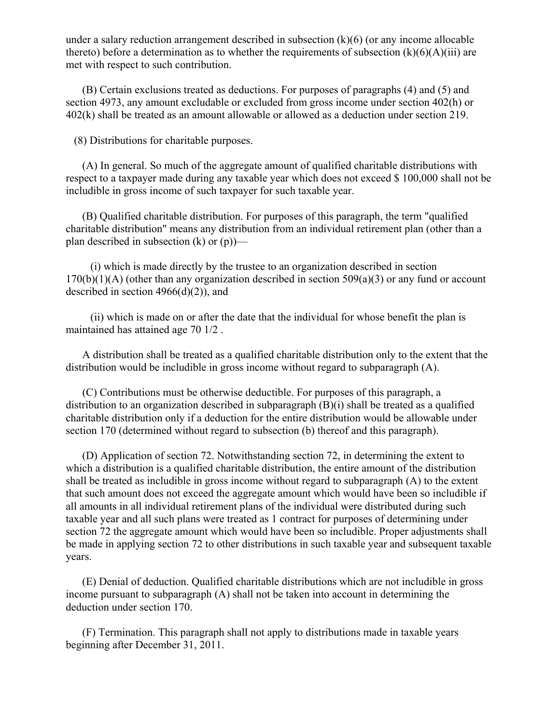under a salary reduction arrangement described in subsection  $(k)(6)$  (or any income allocable thereto) before a determination as to whether the requirements of subsection  $(k)(6)(A)(iii)$  are met with respect to such contribution.

 (B) Certain exclusions treated as deductions. For purposes of paragraphs (4) and (5) and section 4973, any amount excludable or excluded from gross income under section 402(h) or 402(k) shall be treated as an amount allowable or allowed as a deduction under section 219.

(8) Distributions for charitable purposes.

 (A) In general. So much of the aggregate amount of qualified charitable distributions with respect to a taxpayer made during any taxable year which does not exceed \$ 100,000 shall not be includible in gross income of such taxpayer for such taxable year.

 (B) Qualified charitable distribution. For purposes of this paragraph, the term "qualified charitable distribution" means any distribution from an individual retirement plan (other than a plan described in subsection (k) or (p))—

 (i) which is made directly by the trustee to an organization described in section  $170(b)(1)(A)$  (other than any organization described in section  $509(a)(3)$  or any fund or account described in section  $4966(d)(2)$ , and

 (ii) which is made on or after the date that the individual for whose benefit the plan is maintained has attained age 70 1/2 .

 A distribution shall be treated as a qualified charitable distribution only to the extent that the distribution would be includible in gross income without regard to subparagraph (A).

 (C) Contributions must be otherwise deductible. For purposes of this paragraph, a distribution to an organization described in subparagraph (B)(i) shall be treated as a qualified charitable distribution only if a deduction for the entire distribution would be allowable under section 170 (determined without regard to subsection (b) thereof and this paragraph).

 (D) Application of section 72. Notwithstanding section 72, in determining the extent to which a distribution is a qualified charitable distribution, the entire amount of the distribution shall be treated as includible in gross income without regard to subparagraph (A) to the extent that such amount does not exceed the aggregate amount which would have been so includible if all amounts in all individual retirement plans of the individual were distributed during such taxable year and all such plans were treated as 1 contract for purposes of determining under section 72 the aggregate amount which would have been so includible. Proper adjustments shall be made in applying section 72 to other distributions in such taxable year and subsequent taxable years.

 (E) Denial of deduction. Qualified charitable distributions which are not includible in gross income pursuant to subparagraph (A) shall not be taken into account in determining the deduction under section 170.

 (F) Termination. This paragraph shall not apply to distributions made in taxable years beginning after December 31, 2011.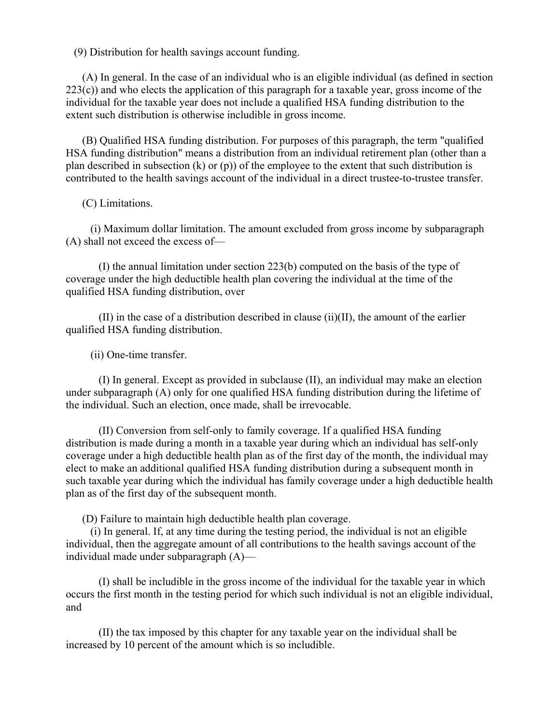(9) Distribution for health savings account funding.

 (A) In general. In the case of an individual who is an eligible individual (as defined in section  $223(c)$ ) and who elects the application of this paragraph for a taxable year, gross income of the individual for the taxable year does not include a qualified HSA funding distribution to the extent such distribution is otherwise includible in gross income.

 (B) Qualified HSA funding distribution. For purposes of this paragraph, the term "qualified HSA funding distribution" means a distribution from an individual retirement plan (other than a plan described in subsection (k) or (p)) of the employee to the extent that such distribution is contributed to the health savings account of the individual in a direct trustee-to-trustee transfer.

(C) Limitations.

 (i) Maximum dollar limitation. The amount excluded from gross income by subparagraph (A) shall not exceed the excess of—

 (I) the annual limitation under section 223(b) computed on the basis of the type of coverage under the high deductible health plan covering the individual at the time of the qualified HSA funding distribution, over

 $(II)$  in the case of a distribution described in clause  $(ii)(II)$ , the amount of the earlier qualified HSA funding distribution.

(ii) One-time transfer.

 (I) In general. Except as provided in subclause (II), an individual may make an election under subparagraph (A) only for one qualified HSA funding distribution during the lifetime of the individual. Such an election, once made, shall be irrevocable.

 (II) Conversion from self-only to family coverage. If a qualified HSA funding distribution is made during a month in a taxable year during which an individual has self-only coverage under a high deductible health plan as of the first day of the month, the individual may elect to make an additional qualified HSA funding distribution during a subsequent month in such taxable year during which the individual has family coverage under a high deductible health plan as of the first day of the subsequent month.

(D) Failure to maintain high deductible health plan coverage.

 (i) In general. If, at any time during the testing period, the individual is not an eligible individual, then the aggregate amount of all contributions to the health savings account of the individual made under subparagraph (A)—

 (I) shall be includible in the gross income of the individual for the taxable year in which occurs the first month in the testing period for which such individual is not an eligible individual, and

 (II) the tax imposed by this chapter for any taxable year on the individual shall be increased by 10 percent of the amount which is so includible.